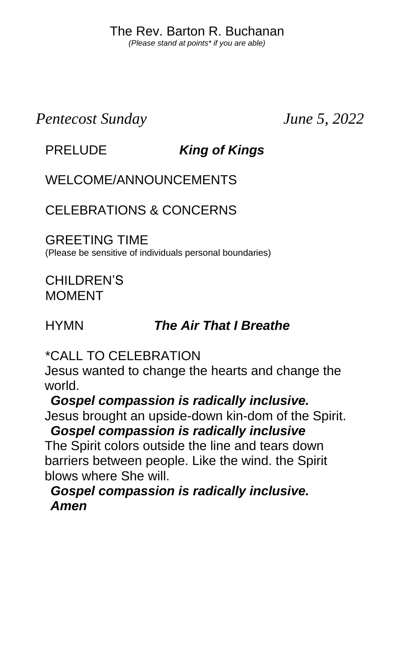*Pentecost Sunday June 5, 2022*

# PRELUDE *King of Kings*

WELCOME/ANNOUNCEMENTS

CELEBRATIONS & CONCERNS

GREETING TIME (Please be sensitive of individuals personal boundaries)

CHILDREN'S MOMENT

## HYMN *The Air That I Breathe*

\*CALL TO CELEBRATION

Jesus wanted to change the hearts and change the world.

*Gospel compassion is radically inclusive.* Jesus brought an upside-down kin-dom of the Spirit.

*Gospel compassion is radically inclusive* The Spirit colors outside the line and tears down barriers between people. Like the wind. the Spirit

blows where She will. *Gospel compassion is radically inclusive. Amen*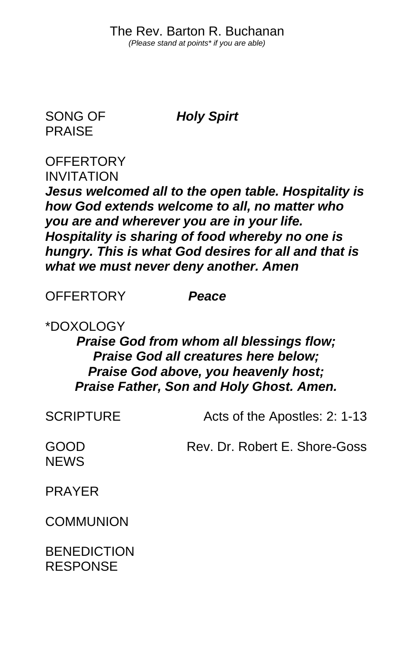## SONG OF PRAISE

*Holy Spirt*

**OFFERTORY** INVITATION

*Jesus welcomed all to the open table. Hospitality is how God extends welcome to all, no matter who you are and wherever you are in your life. Hospitality is sharing of food whereby no one is hungry. This is what God desires for all and that is what we must never deny another. Amen*

OFFERTORY *Peace* 

\*DOXOLOGY

*Praise God from whom all blessings flow; Praise God all creatures here below; Praise God above, you heavenly host; Praise Father, Son and Holy Ghost. Amen.*

SCRIPTURE Acts of the Apostles: 2: 1-13

GOOD **NEWS** 

Rev. Dr. Robert E. Shore-Goss

PRAYER

**COMMUNION** 

BENEDICTION RESPONSE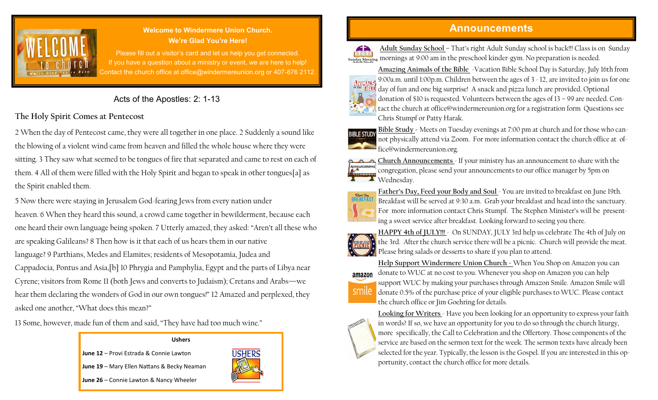

#### **Welcome to Windermere Union Church. We're Glad You're Here!**

Please fill out a visitor's card and let us help you get connected. If you have a question about a ministry or event, we are here to help! Contact the church office at office@windermereunion.org or 407-876 2112.

### Acts of the Apostles: 2: 1-13

### **The Holy Spirit Comes at Pentecost**

2 When the day of Pentecost came, they were all together in one place. 2 Suddenly a sound like the blowing of a violent wind came from heaven and filled the whole house where they were sitting. 3 They saw what seemed to be tongues of fire that separated and came to rest on each of them. 4 All of them were filled with the Holy Spirit and began to speak in other tongues[a] as the Spirit enabled them.

5 Now there were staying in Jerusalem God-fearing Jews from every nation under heaven. 6 When they heard this sound, a crowd came together in bewilderment, because each one heard their own language being spoken. 7 Utterly amazed, they asked: "Aren't all these who are speaking Galileans? 8 Then how is it that each of us hears them in our native language? 9 Parthians, Medes and Elamites; residents of Mesopotamia, Judea and Cappadocia, Pontus and Asia,[b] 10 Phrygia and Pamphylia, Egypt and the parts of Libya near Cyrene; visitors from Rome 11 (both Jews and converts to Judaism); Cretans and Arabs—we hear them declaring the wonders of God in our own tongues!" 12 Amazed and perplexed, they asked one another, "What does this mean?"

13 Some, however, made fun of them and said, "They have had too much wine."

#### **Ushers**

**June 12** – Provi Estrada & Connie Lawton

**June 19** – Mary Ellen Nattans & Becky Neaman **June 26** – Connie Lawton & Nancy Wheeler



### **Announcements**



**Adult Sunday School** – That's right Adult Sunday school is back!!! Class is on Sunday mary Mornings at 9:00 am in the preschool kinder-gym. No preparation is needed.

**Amazing Animals of the Bible** -Vacation Bible School Day is Saturday, July 16th from 9:00a.m. until 1:00p.m. Children between the ages of 3 - 12, are invited to join us for one **dB13** day of fun and one big surprise! A snack and pizza lunch are provided. Optional donation of \$10 is requested. Volunteers between the ages of 13 – 99 are needed. Contact the church at office@windermereunion.org for a registration form Questions see Chris Stumpf or Patty Harak.



**Bible Study -** Meets on Tuesday evenings at 7:00 pm at church and for those who cannot physically attend via Zoom. For more information contact the church office at office@windermereunion.org.

**Church Announcements** - If your ministry has an announcement to share with the congregation, please send your announcements to our office manager by 5pm on Wednesday.



**Father's Day, Feed your Body and Soul** - You are invited to breakfast on June 19th. Breakfast will be served at 9:30 a.m. Grab your breakfast and head into the sanctuary. For more information contact Chris Stumpf. The Stephen Minister's will be presenting a sweet service after breakfast. Looking forward to seeing you there.



**HAPPY 4th of JULY!!!** - On SUNDAY, JULY 3rd help us celebrate The 4th of July on the 3rd. After the church service there will be a picnic. Church will provide the meat. Please bring salads or desserts to share if you plan to attend.

**Help Support Windermere Union Church -** When You Shop on Amazon you can donate to WUC at no cost to you. Whenever you shop on Amazon you can help amazon



support WUC by making your purchases through Amazon Smile. Amazon Smile will donate 0.5% of the purchase price of your eligible purchases to WUC. Please contact the church office or Jim Goehring for details.

**Looking for Writers** - Have you been looking for an opportunity to express your faith in words? If so, we have an opportunity for you to do so through the church liturgy, more specifically, the Call to Celebration and the Offertory. Those components of the service are based on the sermon text for the week. The sermon texts have already been selected for the year. Typically, the lesson is the Gospel. If you are interested in this opportunity, contact the church office for more details.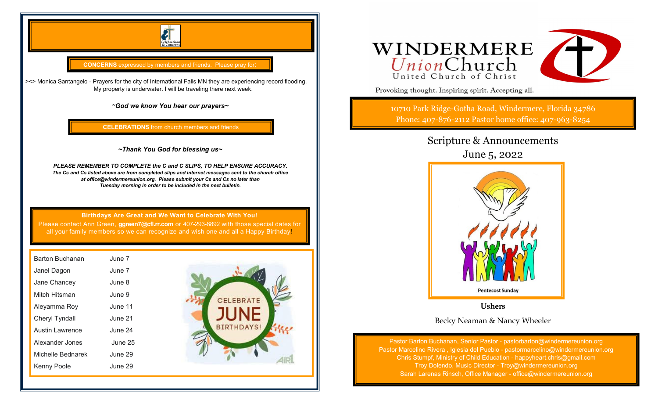

#### **CONCERNS** expressed by members and friends. Please pray for:

><> Monica Santangelo - Prayers for the city of International Falls MN they are experiencing record flooding. My property is underwater. I will be traveling there next week.

*~God we know You hear our prayers~*

#### **CELEBRATIONS** from church members and friends

*~Thank You God for blessing us~*

*PLEASE REMEMBER TO COMPLETE the C and C SLIPS, TO HELP ENSURE ACCURACY. The Cs and Cs listed above are from completed slips and internet messages sent to the church office at office@windermereunion.org. Please submit your Cs and Cs no later than Tuesday morning in order to be included in the next bulletin.*

#### **Birthdays Are Great and We Want to Celebrate With You!**

Please contact Ann Green, **[ggreen7@cfl.rr.com](mailto:ggreen7@cfl.rr.com)** or 407-293-8892 with those special dates for all your family members so we can recognize and wish one and all a Happy Birthday!

| Barton Buchanan        | June 7  |
|------------------------|---------|
| Janel Dagon            | June 7  |
| Jane Chancey           | June 8  |
| Mitch Hitsman          | June 9  |
| Aleyamma Roy           | June 11 |
| Cheryl Tyndall         | June 21 |
| <b>Austin Lawrence</b> | June 24 |
| Alexander Jones        | June 25 |
| Michelle Bednarek      | June 29 |
| Kenny Poole            | June 29 |





Provoking thought. Inspiring spirit. Accepting all.

10710 Park Ridge-Gotha Road, Windermere, Florida 34786 Phone: 407-876-2112 Pastor home office: 407-963-8254

### Scripture & Announcements

June 5, 2022



**Ushers**

Becky Neaman & Nancy Wheeler

Pastor Barton Buchanan, Senior Pastor - pastorbarton@windermereunion.org Pastor Marcelino Rivera , Iglesia del Pueblo - pastormarcelino@windermereunion.org Chris Stumpf, Ministry of Child Education - happyheart.chris@gmail.com Troy Dolendo, Music Director - Troy@windermereunion.org Sarah Larenas Rinsch, Office Manager - office@windermereunion.org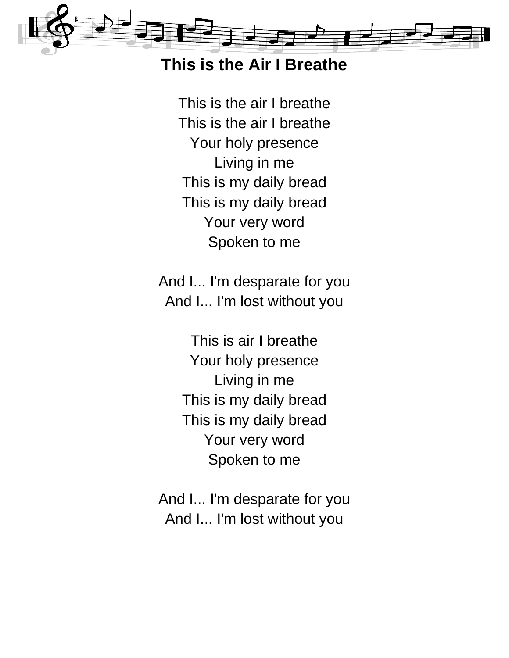

## **This is the Air I Breathe**

This is the air I breathe This is the air I breathe Your holy presence Living in me This is my daily bread This is my daily bread Your very word Spoken to me

And I... I'm desparate for you And I... I'm lost without you

> This is air I breathe Your holy presence Living in me This is my daily bread This is my daily bread Your very word Spoken to me

And I... I'm desparate for you And I... I'm lost without you